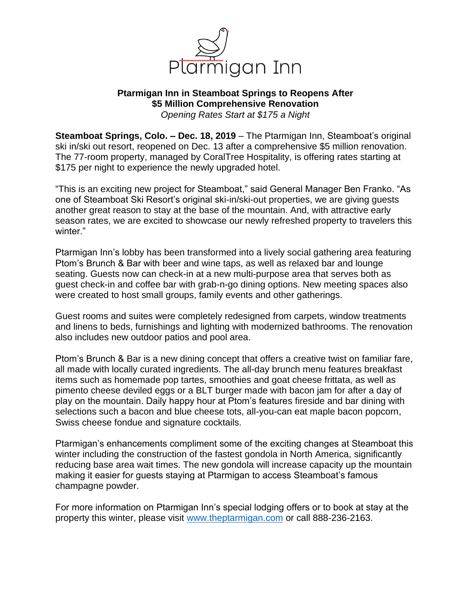

## **Ptarmigan Inn in Steamboat Springs to Reopens After \$5 Million Comprehensive Renovation**  *Opening Rates Start at \$175 a Night*

**Steamboat Springs, Colo. – Dec. 18, 2019** – The Ptarmigan Inn, Steamboat's original ski in/ski out resort, reopened on Dec. 13 after a comprehensive \$5 million renovation. The 77-room property, managed by CoralTree Hospitality, is offering rates starting at \$175 per night to experience the newly upgraded hotel.

"This is an exciting new project for Steamboat," said General Manager Ben Franko. "As one of Steamboat Ski Resort's original ski-in/ski-out properties, we are giving guests another great reason to stay at the base of the mountain. And, with attractive early season rates, we are excited to showcase our newly refreshed property to travelers this winter."

Ptarmigan Inn's lobby has been transformed into a lively social gathering area featuring Ptom's Brunch & Bar with beer and wine taps, as well as relaxed bar and lounge seating. Guests now can check-in at a new multi-purpose area that serves both as guest check-in and coffee bar with grab-n-go dining options. New meeting spaces also were created to host small groups, family events and other gatherings.

Guest rooms and suites were completely redesigned from carpets, window treatments and linens to beds, furnishings and lighting with modernized bathrooms. The renovation also includes new outdoor patios and pool area.

Ptom's Brunch & Bar is a new dining concept that offers a creative twist on familiar fare, all made with locally curated ingredients. The all-day brunch menu features breakfast items such as homemade pop tartes, smoothies and goat cheese frittata, as well as pimento cheese deviled eggs or a BLT burger made with bacon jam for after a day of play on the mountain. Daily happy hour at Ptom's features fireside and bar dining with selections such a bacon and blue cheese tots, all-you-can eat maple bacon popcorn, Swiss cheese fondue and signature cocktails.

Ptarmigan's enhancements compliment some of the exciting changes at Steamboat this winter including the construction of the fastest gondola in North America, significantly reducing base area wait times. The new gondola will increase capacity up the mountain making it easier for guests staying at Ptarmigan to access Steamboat's famous champagne powder.

For more information on Ptarmigan Inn's special lodging offers or to book at stay at the property this winter, please visit [www.theptarmigan.com](http://www.theptarmigan.com/) or call 888-236-2163.